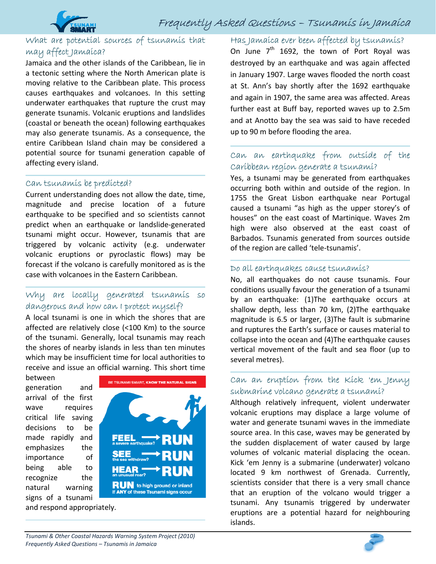

## What are potential sources of tsunamis that may affect Jamaica?

Jamaica and the other islands of the Caribbean, lie in a tectonic setting where the North American plate is moving relative to the Caribbean plate. This process causes earthquakes and volcanoes. In this setting underwater earthquakes that rupture the crust may generate tsunamis. Volcanic eruptions and landslides (coastal or beneath the ocean) following earthquakes may also generate tsunamis. As a consequence, the entire Caribbean Island chain may be considered a potential source for tsunami generation capable of affecting every island.

#### Can tsunamis be predicted?

Current understanding does not allow the date, time, magnitude and precise location of a future earthquake to be specified and so scientists cannot predict when an earthquake or landslide‐generated tsunami might occur. However, tsunamis that are triggered by volcanic activity (e.g. underwater volcanic eruptions or pyroclastic flows) may be forecast if the volcano is carefully monitored as is the case with volcanoes in the Eastern Caribbean.

#### Why are locally generated tsunamis so dangerous and how can I protect myself?

A local tsunami is one in which the shores that are affected are relatively close (<100 Km) to the source of the tsunami. Generally, local tsunamis may reach the shores of nearby islands in less than ten minutes which may be insufficient time for local authorities to receive and issue an official warning. This short time

between generation and arrival of the first wave requires critical life saving decisions to be made rapidly and emphasizes the importance of being able to recognize the natural warning signs of a tsunami



BE TSUNAMI SMART, KNOW THE NATURAL SIGNS **RUN** to high ground or inland<br>if ANY of these Tsunami signs occur

Has Jamaica ever been affected by tsunamis? On June  $7<sup>th</sup>$  1692, the town of Port Royal was destroyed by an earthquake and was again affected in January 1907. Large waves flooded the north coast at St. Ann's bay shortly after the 1692 earthquake and again in 1907, the same area was affected. Areas further east at Buff bay, reported waves up to 2.5m and at Anotto bay the sea was said to have receded up to 90 m before flooding the area.

## Can an earthquake from outside of the Caribbean region generate a tsunami?

Yes, a tsunami may be generated from earthquakes occurring both within and outside of the region. In 1755 the Great Lisbon earthquake near Portugal caused a tsunami "as high as the upper storey's of houses" on the east coast of Martinique. Waves 2m high were also observed at the east coast of Barbados. Tsunamis generated from sources outside of the region are called 'tele‐tsunamis'.

#### Do all earthquakes cause tsunamis?

No, all earthquakes do not cause tsunamis. Four conditions usually favour the generation of a tsunami by an earthquake: (1)The earthquake occurs at shallow depth, less than 70 km, (2)The earthquake magnitude is 6.5 or larger, (3)The fault is submarine and ruptures the Earth's surface or causes material to collapse into the ocean and (4)The earthquake causes vertical movement of the fault and sea floor (up to several metres).

#### Can an eruption from the Kick 'em Jenny submarine volcano generate a tsunami?

Although relatively infrequent, violent underwater volcanic eruptions may displace a large volume of water and generate tsunami waves in the immediate source area. In this case, waves may be generated by the sudden displacement of water caused by large volumes of volcanic material displacing the ocean. Kick 'em Jenny is a submarine (underwater) volcano located 9 km northwest of Grenada. Currently, scientists consider that there is a very small chance that an eruption of the volcano would trigger a tsunami. Any tsunamis triggered by underwater eruptions are a potential hazard for neighbouring islands.